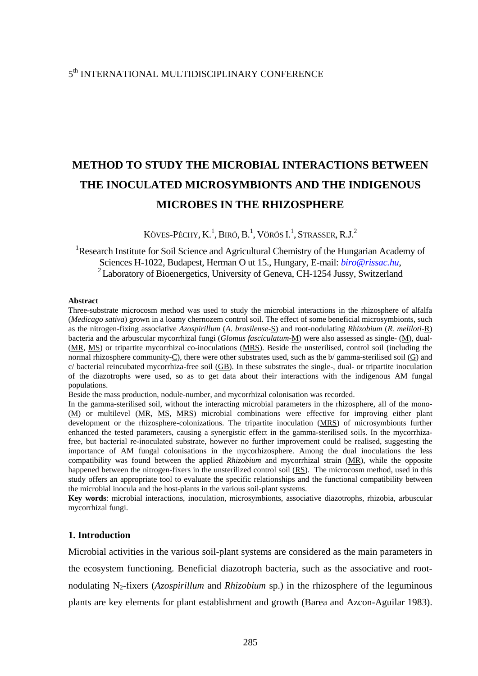# 5<sup>th</sup> INTERNATIONAL MULTIDISCIPLINARY CONFERENCE

# **METHOD TO STUDY THE MICROBIAL INTERACTIONS BETWEEN THE INOCULATED MICROSYMBIONTS AND THE INDIGENOUS MICROBES IN THE RHIZOSPHERE**

KÖVES-PÉCHY, K. $^1$ , Biró, B. $^1$ , Vörös I. $^1$ , Strasser, R.J. $^2$ 

# <sup>1</sup>Research Institute for Soil Science and Agricultural Chemistry of the Hungarian Academy of Sciences H-1022, Budapest, Herman O ut 15., Hungary, E-mail: *biro@rissac.hu*, <sup>2</sup> Laboratory of Bioenergetics, University of Geneva, CH-1254 Jussy, Switzerland

#### **Abstract**

Three-substrate microcosm method was used to study the microbial interactions in the rhizosphere of alfalfa (*Medicago sativa*) grown in a loamy chernozem control soil. The effect of some beneficial microsymbionts, such as the nitrogen-fixing associative *Azospirillum* (*A. brasilense*-S) and root-nodulating *Rhizobium* (*R. meliloti*-R) bacteria and the arbuscular mycorrhizal fungi (*Glomus fasciculatum*-M) were also assessed as single- (M), dual- (MR, MS) or tripartite mycorrhizal co-inoculations (MRS). Beside the unsterilised, control soil (including the normal rhizosphere community-C), there were other substrates used, such as the b/ gamma-sterilised soil (G) and c/ bacterial reincubated mycorrhiza-free soil (GB). In these substrates the single-, dual- or tripartite inoculation of the diazotrophs were used, so as to get data about their interactions with the indigenous AM fungal populations.

Beside the mass production, nodule-number, and mycorrhizal colonisation was recorded.

In the gamma-sterilised soil, without the interacting microbial parameters in the rhizosphere, all of the mono- (M) or multilevel (MR, MS, MRS) microbial combinations were effective for improving either plant development or the rhizosphere-colonizations. The tripartite inoculation (MRS) of microsymbionts further enhanced the tested parameters, causing a synergistic effect in the gamma-sterilised soils. In the mycorrhizafree, but bacterial re-inoculated substrate, however no further improvement could be realised, suggesting the importance of AM fungal colonisations in the mycorhizosphere. Among the dual inoculations the less compatibility was found between the applied *Rhizobium* and mycorrhizal strain (MR), while the opposite happened between the nitrogen-fixers in the unsterilized control soil (RS). The microcosm method, used in this study offers an appropriate tool to evaluate the specific relationships and the functional compatibility between the microbial inocula and the host-plants in the various soil-plant systems.

**Key words**: microbial interactions, inoculation, microsymbionts, associative diazotrophs, rhizobia, arbuscular mycorrhizal fungi.

#### **1. Introduction**

Microbial activities in the various soil-plant systems are considered as the main parameters in the ecosystem functioning. Beneficial diazotroph bacteria, such as the associative and rootnodulating N2-fixers (*Azospirillum* and *Rhizobium* sp.) in the rhizosphere of the leguminous plants are key elements for plant establishment and growth (Barea and Azcon-Aguilar 1983).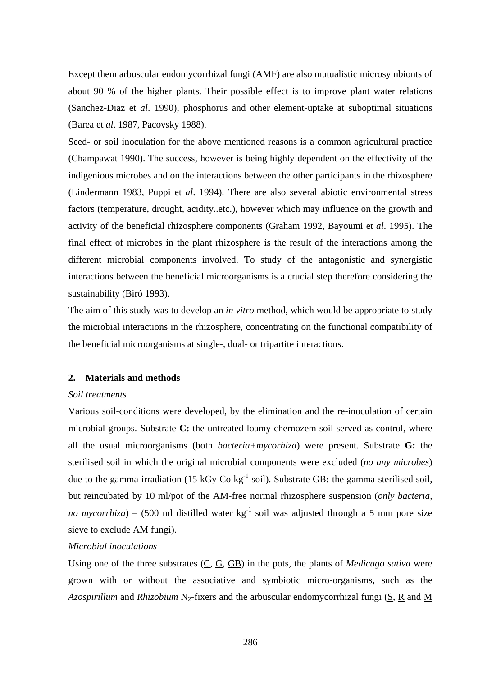Except them arbuscular endomycorrhizal fungi (AMF) are also mutualistic microsymbionts of about 90 % of the higher plants. Their possible effect is to improve plant water relations (Sanchez-Diaz et *al*. 1990), phosphorus and other element-uptake at suboptimal situations (Barea et *al*. 1987, Pacovsky 1988).

Seed- or soil inoculation for the above mentioned reasons is a common agricultural practice (Champawat 1990). The success, however is being highly dependent on the effectivity of the indigenious microbes and on the interactions between the other participants in the rhizosphere (Lindermann 1983, Puppi et *al*. 1994). There are also several abiotic environmental stress factors (temperature, drought, acidity..etc.), however which may influence on the growth and activity of the beneficial rhizosphere components (Graham 1992, Bayoumi et *al*. 1995). The final effect of microbes in the plant rhizosphere is the result of the interactions among the different microbial components involved. To study of the antagonistic and synergistic interactions between the beneficial microorganisms is a crucial step therefore considering the sustainability (Biró 1993).

The aim of this study was to develop an *in vitro* method, which would be appropriate to study the microbial interactions in the rhizosphere, concentrating on the functional compatibility of the beneficial microorganisms at single-, dual- or tripartite interactions.

## **2. Materials and methods**

### *Soil treatments*

Various soil-conditions were developed, by the elimination and the re-inoculation of certain microbial groups. Substrate **C:** the untreated loamy chernozem soil served as control, where all the usual microorganisms (both *bacteria+mycorhiza*) were present. Substrate **G:** the sterilised soil in which the original microbial components were excluded (*no any microbes*) due to the gamma irradiation (15 kGy Co kg-1 soil). Substrate GB**:** the gamma-sterilised soil, but reincubated by 10 ml/pot of the AM-free normal rhizosphere suspension (*only bacteria, no mycorrhiza*) – (500 ml distilled water  $kg^{-1}$  soil was adjusted through a 5 mm pore size sieve to exclude AM fungi).

## *Microbial inoculations*

Using one of the three substrates (C, G, GB) in the pots, the plants of *Medicago sativa* were grown with or without the associative and symbiotic micro-organisms, such as the Azospirillum and *Rhizobium* N<sub>2</sub>-fixers and the arbuscular endomycorrhizal fungi (S, R and M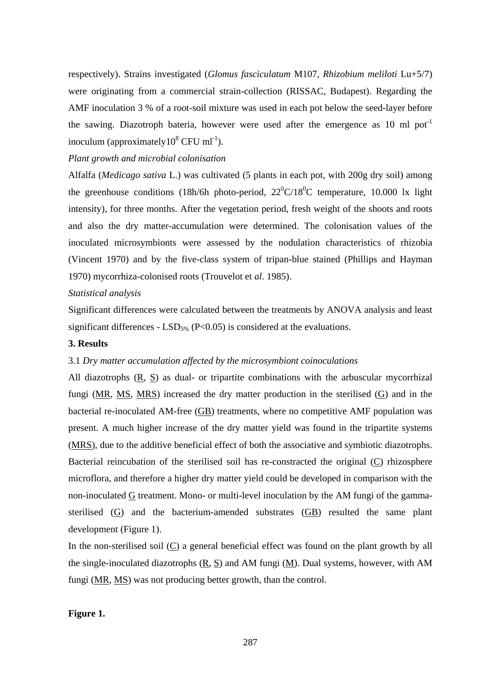respectively). Strains investigated (*Glomus fasciculatum* M107, *Rhizobium meliloti* Lu+5/7) were originating from a commercial strain-collection (RISSAC, Budapest). Regarding the AMF inoculation 3 % of a root-soil mixture was used in each pot below the seed-layer before the sawing. Diazotroph bateria, however were used after the emergence as 10 ml pot<sup>-1</sup> inoculum (approximately  $10^8$  CFU ml<sup>-1</sup>).

# *Plant growth and microbial colonisation*

Alfalfa (*Medicago sativa* L.) was cultivated (5 plants in each pot, with 200g dry soil) among the greenhouse conditions (18h/6h photo-period,  $22^{\circ}C/18^{\circ}C$  temperature, 10.000 lx light intensity), for three months. After the vegetation period, fresh weight of the shoots and roots and also the dry matter-accumulation were determined. The colonisation values of the inoculated microsymbionts were assessed by the nodulation characteristics of rhizobia (Vincent 1970) and by the five-class system of tripan-blue stained (Phillips and Hayman 1970) mycorrhiza-colonised roots (Trouvelot et *al*. 1985).

## *Statistical analysis*

Significant differences were calculated between the treatments by ANOVA analysis and least significant differences -  $LSD<sub>5%</sub>$  (P<0.05) is considered at the evaluations.

### **3. Results**

## 3.1 *Dry matter accumulation affected by the microsymbiont coinoculations*

All diazotrophs (R, S) as dual- or tripartite combinations with the arbuscular mycorrhizal fungi (MR, MS, MRS) increased the dry matter production in the sterilised (G) and in the bacterial re-inoculated AM-free (GB) treatments, where no competitive AMF population was present. A much higher increase of the dry matter yield was found in the tripartite systems (MRS), due to the additive beneficial effect of both the associative and symbiotic diazotrophs. Bacterial reincubation of the sterilised soil has re-constracted the original (C) rhizosphere microflora, and therefore a higher dry matter yield could be developed in comparison with the non-inoculated G treatment. Mono- or multi-level inoculation by the AM fungi of the gammasterilised  $(G)$  and the bacterium-amended substrates  $(GB)$  resulted the same plant development (Figure 1).

In the non-sterilised soil (C) a general beneficial effect was found on the plant growth by all the single-inoculated diazotrophs (R, S) and AM fungi (M). Dual systems, however, with AM fungi (MR, MS) was not producing better growth, than the control.

# **Figure 1.**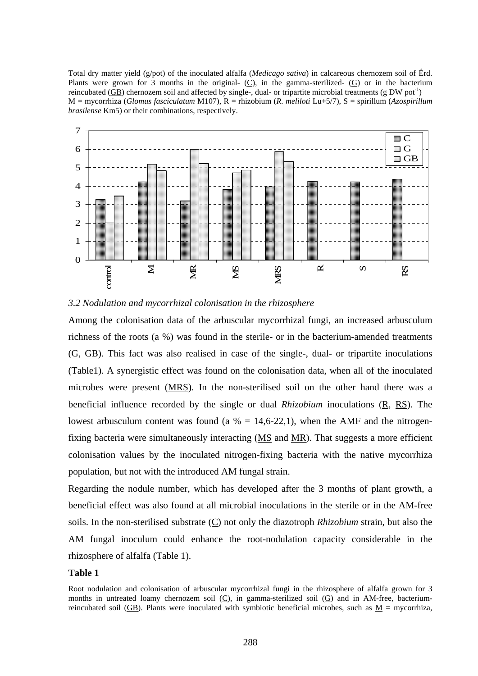Total dry matter yield (g/pot) of the inoculated alfalfa (*Medicago sativa*) in calcareous chernozem soil of Érd. Plants were grown for 3 months in the original-  $(C)$ , in the gamma-sterilized-  $(G)$  or in the bacterium reincubated (GB) chernozem soil and affected by single-, dual- or tripartite microbial treatments (g DW pot<sup>-1</sup>) M = mycorrhiza (*Glomus fasciculatum* M107), R = rhizobium (*R. meliloti* Lu+5/7), S = spirillum (*Azospirillum brasilense* Km5) or their combinations, respectively.





Among the colonisation data of the arbuscular mycorrhizal fungi, an increased arbusculum richness of the roots (a %) was found in the sterile- or in the bacterium-amended treatments  $(G, GB)$ . This fact was also realised in case of the single-, dual- or tripartite inoculations (Table1). A synergistic effect was found on the colonisation data, when all of the inoculated microbes were present (MRS). In the non-sterilised soil on the other hand there was a beneficial influence recorded by the single or dual *Rhizobium* inoculations (R, RS). The lowest arbusculum content was found (a  $\% = 14,6-22,1$ ), when the AMF and the nitrogenfixing bacteria were simultaneously interacting (MS and MR). That suggests a more efficient colonisation values by the inoculated nitrogen-fixing bacteria with the native mycorrhiza population, but not with the introduced AM fungal strain.

Regarding the nodule number, which has developed after the 3 months of plant growth, a beneficial effect was also found at all microbial inoculations in the sterile or in the AM-free soils. In the non-sterilised substrate (C) not only the diazotroph *Rhizobium* strain, but also the AM fungal inoculum could enhance the root-nodulation capacity considerable in the rhizosphere of alfalfa (Table 1).

#### **Table 1**

Root nodulation and colonisation of arbuscular mycorrhizal fungi in the rhizosphere of alfalfa grown for 3 months in untreated loamy chernozem soil (C), in gamma-sterilized soil (G) and in AM-free, bacteriumreincubated soil (GB). Plants were inoculated with symbiotic beneficial microbes, such as  $M =$  mycorrhiza,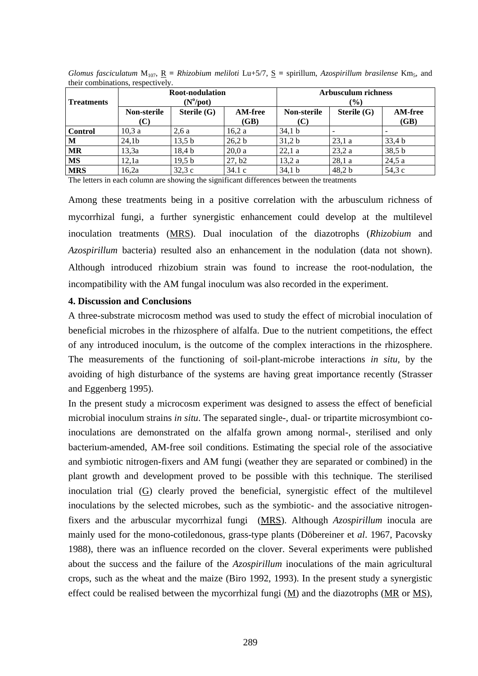| <b>Treatments</b> | Root-nodulation<br>$(N^0\text{/pot})$ |                   |                        | <b>Arbusculum richness</b><br>(%) |               |                        |
|-------------------|---------------------------------------|-------------------|------------------------|-----------------------------------|---------------|------------------------|
|                   | <b>Non-sterile</b><br>(C)             | Sterile $(G)$     | <b>AM-free</b><br>(GB) | <b>Non-sterile</b><br>(C)         | Sterile $(G)$ | <b>AM-free</b><br>(GB) |
| <b>Control</b>    | 10,3a                                 | 2,6a              | 16,2 a                 | 34,1 b                            |               |                        |
| M                 | 24,1 <sub>b</sub>                     | 13.5 <sub>b</sub> | 26,2 b                 | 31,2 b                            | 23.1a         | 33,4 b                 |
| <b>MR</b>         | 13,3a                                 | 18.4 <sub>b</sub> | 20.0a                  | 22,1a                             | 23,2a         | 38,5 b                 |
| <b>MS</b>         | 12.1a                                 | 19,5 b            | 27, b2                 | 13,2a                             | 28,1a         | 24,5a                  |
| <b>MRS</b>        | 16.2a                                 | 32.3c             | 34.1c                  | 34,1 b                            | 48.2 b        | 54,3 c                 |

*Glomus fasciculatum*  $M_{107}$ ,  $R = Rhizobium$  meliloti Lu+5/7,  $S =$  spirillum, *Azospirillum brasilense* Km<sub>5</sub>, and their combinations, respectively.

The letters in each column are showing the significant differences between the treatments

Among these treatments being in a positive correlation with the arbusculum richness of mycorrhizal fungi, a further synergistic enhancement could develop at the multilevel inoculation treatments (MRS). Dual inoculation of the diazotrophs (*Rhizobium* and *Azospirillum* bacteria) resulted also an enhancement in the nodulation (data not shown). Although introduced rhizobium strain was found to increase the root-nodulation, the incompatibility with the AM fungal inoculum was also recorded in the experiment.

#### **4. Discussion and Conclusions**

A three-substrate microcosm method was used to study the effect of microbial inoculation of beneficial microbes in the rhizosphere of alfalfa. Due to the nutrient competitions, the effect of any introduced inoculum, is the outcome of the complex interactions in the rhizosphere. The measurements of the functioning of soil-plant-microbe interactions *in situ*, by the avoiding of high disturbance of the systems are having great importance recently (Strasser and Eggenberg 1995).

In the present study a microcosm experiment was designed to assess the effect of beneficial microbial inoculum strains *in situ*. The separated single-, dual- or tripartite microsymbiont coinoculations are demonstrated on the alfalfa grown among normal-, sterilised and only bacterium-amended, AM-free soil conditions. Estimating the special role of the associative and symbiotic nitrogen-fixers and AM fungi (weather they are separated or combined) in the plant growth and development proved to be possible with this technique. The sterilised inoculation trial (G) clearly proved the beneficial, synergistic effect of the multilevel inoculations by the selected microbes, such as the symbiotic- and the associative nitrogenfixers and the arbuscular mycorrhizal fungi (MRS). Although *Azospirillum* inocula are mainly used for the mono-cotiledonous, grass-type plants (Döbereiner et *al*. 1967, Pacovsky 1988), there was an influence recorded on the clover. Several experiments were published about the success and the failure of the *Azospirillum* inoculations of the main agricultural crops, such as the wheat and the maize (Biro 1992, 1993). In the present study a synergistic effect could be realised between the mycorrhizal fungi  $(M)$  and the diazotrophs  $(MR)$  or  $MS$ ),